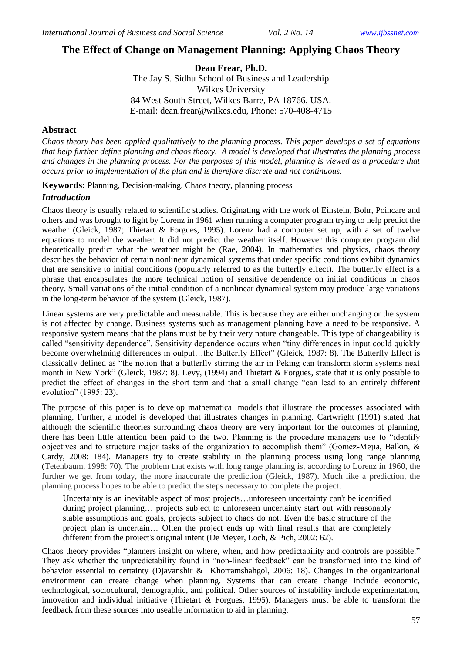# **The Effect of Change on Management Planning: Applying Chaos Theory**

**Dean Frear, Ph.D.** The Jay S. Sidhu School of Business and Leadership Wilkes University 84 West South Street, Wilkes Barre, PA 18766, USA. E-mail: [dean.frear@wilkes.edu,](mailto:dean.frear@wilkes.edu) Phone: 570-408-4715

#### **Abstract**

*Chaos theory has been applied qualitatively to the planning process. This paper develops a set of equations that help further define planning and chaos theory. A model is developed that illustrates the planning process and changes in the planning process. For the purposes of this model, planning is viewed as a procedure that occurs prior to implementation of the plan and is therefore discrete and not continuous.*

**Keywords:** Planning, Decision-making, Chaos theory, planning process

#### *Introduction*

Chaos theory is usually related to scientific studies. Originating with the work of Einstein, Bohr, Poincare and others and was brought to light by Lorenz in 1961 when running a computer program trying to help predict the weather (Gleick, 1987; Thietart & Forgues, 1995). Lorenz had a computer set up, with a set of twelve equations to model the weather. It did not predict the weather itself. However this computer program did theoretically predict what the weather might be (Rae, 2004). In mathematics and physics, chaos theory describes the behavior of certain nonlinear dynamical systems that under specific conditions exhibit dynamics that are sensitive to initial conditions (popularly referred to as the butterfly effect). The butterfly effect is a phrase that encapsulates the more technical notion of sensitive dependence on initial conditions in chaos theory. Small variations of the initial condition of a nonlinear dynamical system may produce large variations in the long-term behavior of the system (Gleick, 1987).

Linear systems are very predictable and measurable. This is because they are either unchanging or the system is not affected by change. Business systems such as management planning have a need to be responsive. A responsive system means that the plans must be by their very nature changeable. This type of changeability is called "sensitivity dependence". Sensitivity dependence occurs when "tiny differences in input could quickly become overwhelming differences in output...the Butterfly Effect" (Gleick, 1987: 8). The Butterfly Effect is classically defined as "the notion that a butterfly stirring the air in Peking can transform storm systems next month in New York" (Gleick, 1987: 8). Levy, (1994) and Thietart & Forgues, state that it is only possible to predict the effect of changes in the short term and that a small change "can lead to an entirely different evolution" (1995: 23).

The purpose of this paper is to develop mathematical models that illustrate the processes associated with planning. Further, a model is developed that illustrates changes in planning. Cartwright (1991) stated that although the scientific theories surrounding chaos theory are very important for the outcomes of planning, there has been little attention been paid to the two. Planning is the procedure managers use to "identify objectives and to structure major tasks of the organization to accomplish them" (Gomez-Mejia, Balkin, & Cardy, 2008: 184). Managers try to create stability in the planning process using long range planning (Tetenbaum, 1998: 70). The problem that exists with long range planning is, according to Lorenz in 1960, the further we get from today, the more inaccurate the prediction (Gleick, 1987). Much like a prediction, the planning process hopes to be able to predict the steps necessary to complete the project.

Uncertainty is an inevitable aspect of most projects…unforeseen uncertainty can't be identified during project planning... projects subject to unforeseen uncertainty start out with reasonably stable assumptions and goals, projects subject to chaos do not. Even the basic structure of the project plan is uncertain… Often the project ends up with final results that are completely different from the project's original intent (De Meyer, Loch, & Pich, 2002: 62).

Chaos theory provides "planners insight on where, when, and how predictability and controls are possible." They ask whether the unpredictability found in "non-linear feedback" can be transformed into the kind of behavior essential to certainty (Djavanshir & Khorramshahgol, 2006: 18). Changes in the organizational environment can create change when planning. Systems that can create change include economic, technological, sociocultural, demographic, and political. Other sources of instability include experimentation, innovation and individual initiative (Thietart  $\&$  Forgues, 1995). Managers must be able to transform the feedback from these sources into useable information to aid in planning.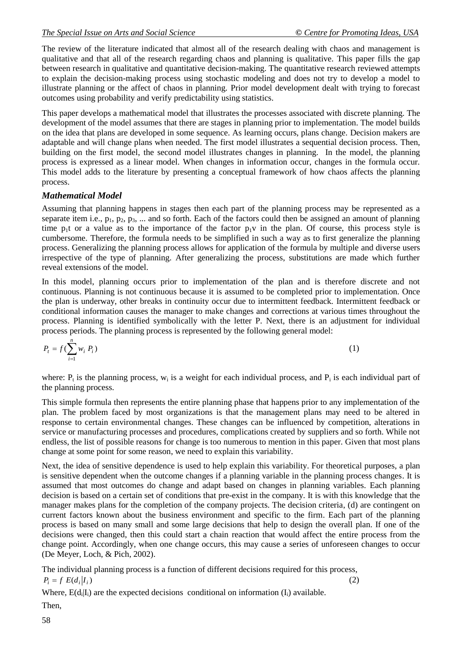The review of the literature indicated that almost all of the research dealing with chaos and management is qualitative and that all of the research regarding chaos and planning is qualitative. This paper fills the gap between research in qualitative and quantitative decision-making. The quantitative research reviewed attempts to explain the decision-making process using stochastic modeling and does not try to develop a model to illustrate planning or the affect of chaos in planning. Prior model development dealt with trying to forecast outcomes using probability and verify predictability using statistics.

This paper develops a mathematical model that illustrates the processes associated with discrete planning. The development of the model assumes that there are stages in planning prior to implementation. The model builds on the idea that plans are developed in some sequence. As learning occurs, plans change. Decision makers are adaptable and will change plans when needed. The first model illustrates a sequential decision process. Then, building on the first model, the second model illustrates changes in planning. In the model, the planning process is expressed as a linear model. When changes in information occur, changes in the formula occur. This model adds to the literature by presenting a conceptual framework of how chaos affects the planning process.

## *Mathematical Model*

Assuming that planning happens in stages then each part of the planning process may be represented as a separate item i.e.,  $p_1$ ,  $p_2$ ,  $p_3$ , ... and so forth. Each of the factors could then be assigned an amount of planning time  $p_1t$  or a value as to the importance of the factor  $p_1v$  in the plan. Of course, this process style is cumbersome. Therefore, the formula needs to be simplified in such a way as to first generalize the planning process. Generalizing the planning process allows for application of the formula by multiple and diverse users irrespective of the type of planning. After generalizing the process, substitutions are made which further reveal extensions of the model.

In this model, planning occurs prior to implementation of the plan and is therefore discrete and not continuous. Planning is not continuous because it is assumed to be completed prior to implementation. Once the plan is underway, other breaks in continuity occur due to intermittent feedback. Intermittent feedback or conditional information causes the manager to make changes and corrections at various times throughout the process. Planning is identified symbolically with the letter P. Next, there is an adjustment for individual process periods. The planning process is represented by the following general model:

$$
P_t = f(\sum_{i=1}^n w_i P_i) \tag{1}
$$

where:  $P_t$  is the planning process,  $w_i$  is a weight for each individual process, and  $P_i$  is each individual part of the planning process.

This simple formula then represents the entire planning phase that happens prior to any implementation of the plan. The problem faced by most organizations is that the management plans may need to be altered in response to certain environmental changes. These changes can be influenced by competition, alterations in service or manufacturing processes and procedures, complications created by suppliers and so forth. While not endless, the list of possible reasons for change is too numerous to mention in this paper. Given that most plans change at some point for some reason, we need to explain this variability.

Next, the idea of sensitive dependence is used to help explain this variability. For theoretical purposes, a plan is sensitive dependent when the outcome changes if a planning variable in the planning process changes. It is assumed that most outcomes do change and adapt based on changes in planning variables. Each planning decision is based on a certain set of conditions that pre-exist in the company. It is with this knowledge that the manager makes plans for the completion of the company projects. The decision criteria, (d) are contingent on current factors known about the business environment and specific to the firm. Each part of the planning process is based on many small and some large decisions that help to design the overall plan. If one of the decisions were changed, then this could start a chain reaction that would affect the entire process from the change point. Accordingly, when one change occurs, this may cause a series of unforeseen changes to occur (De Meyer, Loch, & Pich, 2002).

The individual planning process is a function of different decisions required for this process,  $P_i = f E(d_i | I_i)$ (2)

Where,  $E(d_i|I_i)$  are the expected decisions conditional on information  $(I_i)$  available.

Then,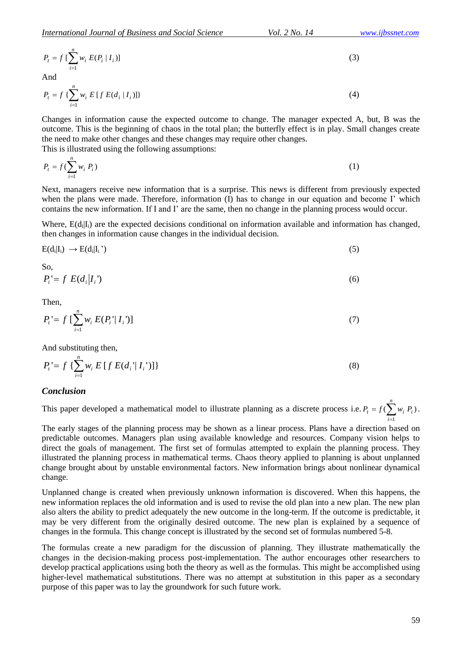$$
P_{t} = f \left[ \sum_{i=1}^{n} w_{i} E(P_{i} | I_{i}) \right]
$$
  
And

$$
P_{t} = f\left\{\sum_{i=1}^{n} w_{i} E[f E(d_{i} | I_{i})]\right\}
$$
\n(4)

Changes in information cause the expected outcome to change. The manager expected A, but, B was the outcome. This is the beginning of chaos in the total plan; the butterfly effect is in play. Small changes create the need to make other changes and these changes may require other changes. This is illustrated using the following assumptions:

$$
P_t = f(\sum_{i=1}^n w_i P_i) \tag{1}
$$

Next, managers receive new information that is a surprise. This news is different from previously expected when the plans were made. Therefore, information (I) has to change in our equation and become I' which contains the new information. If I and I' are the same, then no change in the planning process would occur.

Where, E(d<sub>i</sub>|I<sub>i</sub>) are the expected decisions conditional on information available and information has changed, then changes in information cause changes in the individual decision.

$$
E(d_i|I_i) \rightarrow E(d_i|I_i^{\prime}) \tag{5}
$$

So,  

$$
P_i = f E(d_i | I_i') \tag{6}
$$

Then,

$$
P_{t} = f \left[ \sum_{i=1}^{n} w_{i} E(P_{i} \mid I_{i}) \right]
$$
 (7)

And substituting then,

$$
P_{t} = f \left\{ \sum_{i=1}^{n} w_{i} E[f E(d_{i} | I_{i}')] \right\}
$$
 (8)

#### *Conclusion*

This paper developed a mathematical model to illustrate planning as a discrete process i.e.  $P_t = f(\sum_{i=1}^{n} w_i P_i)$ 1 *n i*  $P_t = f(\sum w_i P_i).$ 

( $\sum_{i=1}^{n} E_i E_i^T (L_i)$ <br>  $\sum_{i=1}^{n} E_i^T (R_i^T (L_i) I_i)$ <br>  $\sum_{i=1}^{n} E_i^T (R_i^T (L_i) I_i)$ <br>  $\sum_{i=1}^{n} E_i^T (R_i^T (L_i) I_i)$ <br>  $\sum_{i=1}^{n} E_i^T (R_i^T (L_i) I_i)$ <br>  $\sum_{i=1}^{n} E_i^T (R_i^T (L_i) I_i)$ <br>  $\sum_{i=1}^{n} E_i^T (R_i^T (L_i) I_i)$ <br>  $\sum_{i=1}^{n} E_i^T ($ The early stages of the planning process may be shown as a linear process. Plans have a direction based on predictable outcomes. Managers plan using available knowledge and resources. Company vision helps to direct the goals of management. The first set of formulas attempted to explain the planning process. They illustrated the planning process in mathematical terms. Chaos theory applied to planning is about unplanned change brought about by unstable environmental factors. New information brings about nonlinear dynamical change.

Unplanned change is created when previously unknown information is discovered. When this happens, the new information replaces the old information and is used to revise the old plan into a new plan. The new plan also alters the ability to predict adequately the new outcome in the long-term. If the outcome is predictable, it may be very different from the originally desired outcome. The new plan is explained by a sequence of changes in the formula. This change concept is illustrated by the second set of formulas numbered 5-8.

The formulas create a new paradigm for the discussion of planning. They illustrate mathematically the changes in the decision-making process post-implementation. The author encourages other researchers to develop practical applications using both the theory as well as the formulas. This might be accomplished using higher-level mathematical substitutions. There was no attempt at substitution in this paper as a secondary purpose of this paper was to lay the groundwork for such future work.